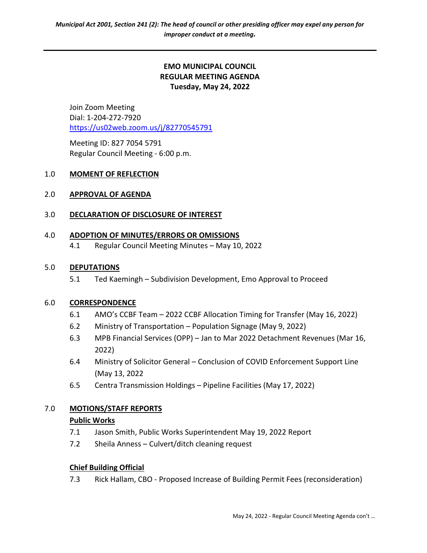# EMO MUNICIPAL COUNCIL REGULAR MEETING AGENDA Tuesday, May 24, 2022

Join Zoom Meeting Dial: 1-204-272-7920 https://us02web.zoom.us/j/82770545791

 Meeting ID: 827 7054 5791 Regular Council Meeting - 6:00 p.m.

## 1.0 MOMENT OF REFLECTION

## 2.0 APPROVAL OF AGENDA

## 3.0 DECLARATION OF DISCLOSURE OF INTEREST

#### 4.0 ADOPTION OF MINUTES/ERRORS OR OMISSIONS

4.1 Regular Council Meeting Minutes – May 10, 2022

#### 5.0 DEPUTATIONS

5.1 Ted Kaemingh – Subdivision Development, Emo Approval to Proceed

## 6.0 CORRESPONDENCE

- 6.1 AMO's CCBF Team 2022 CCBF Allocation Timing for Transfer (May 16, 2022)
- 6.2 Ministry of Transportation Population Signage (May 9, 2022)
- 6.3 MPB Financial Services (OPP) Jan to Mar 2022 Detachment Revenues (Mar 16, 2022)
- 6.4 Ministry of Solicitor General Conclusion of COVID Enforcement Support Line (May 13, 2022
- 6.5 Centra Transmission Holdings Pipeline Facilities (May 17, 2022)

## 7.0 MOTIONS/STAFF REPORTS

#### Public Works

- 7.1 Jason Smith, Public Works Superintendent May 19, 2022 Report
- 7.2 Sheila Anness Culvert/ditch cleaning request

#### Chief Building Official

7.3 Rick Hallam, CBO - Proposed Increase of Building Permit Fees (reconsideration)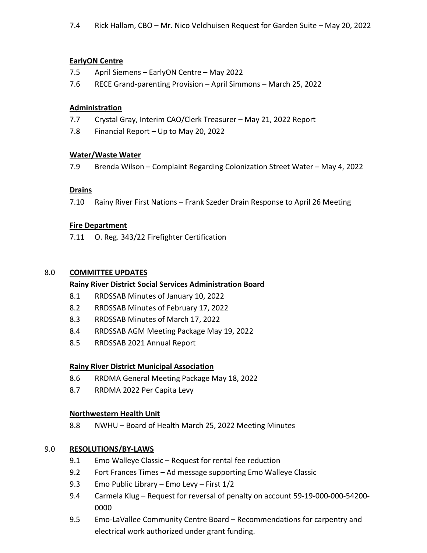## EarlyON Centre

- 7.5 April Siemens EarlyON Centre May 2022
- 7.6 RECE Grand-parenting Provision April Simmons March 25, 2022

## Administration

- 7.7 Crystal Gray, Interim CAO/Clerk Treasurer May 21, 2022 Report
- 7.8 Financial Report Up to May 20, 2022

## Water/Waste Water

7.9 Brenda Wilson – Complaint Regarding Colonization Street Water – May 4, 2022

## **Drains**

7.10 Rainy River First Nations – Frank Szeder Drain Response to April 26 Meeting

## Fire Department

7.11 O. Reg. 343/22 Firefighter Certification

# 8.0 COMMITTEE UPDATES

# Rainy River District Social Services Administration Board

- 8.1 RRDSSAB Minutes of January 10, 2022
- 8.2 RRDSSAB Minutes of February 17, 2022
- 8.3 RRDSSAB Minutes of March 17, 2022
- 8.4 RRDSSAB AGM Meeting Package May 19, 2022
- 8.5 RRDSSAB 2021 Annual Report

# Rainy River District Municipal Association

- 8.6 RRDMA General Meeting Package May 18, 2022
- 8.7 RRDMA 2022 Per Capita Levy

## Northwestern Health Unit

8.8 NWHU – Board of Health March 25, 2022 Meeting Minutes

# 9.0 RESOLUTIONS/BY-LAWS

- 9.1 Emo Walleye Classic Request for rental fee reduction
- 9.2 Fort Frances Times Ad message supporting Emo Walleye Classic
- 9.3 Emo Public Library Emo Levy First 1/2
- 9.4 Carmela Klug Request for reversal of penalty on account 59-19-000-000-54200- 0000
- 9.5 Emo-LaVallee Community Centre Board Recommendations for carpentry and electrical work authorized under grant funding.